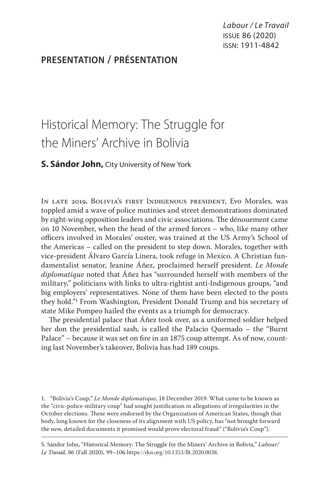Labour / Le Travail issue 86 (2020) issn: 1911-4842

# **presentation / présentation**

# Historical Memory: The Struggle for the Miners' Archive in Bolivia

# **S. Sándor John,** City University of New York

In late 2019, Bolivia's first Indigenous president, Evo Morales, was toppled amid a wave of police mutinies and street demonstrations dominated by right-wing opposition leaders and civic associations. The dénouement came on 10 November, when the head of the armed forces – who, like many other officers involved in Morales' ouster, was trained at the US Army's School of the Americas – called on the president to step down. Morales, together with vice-president Álvaro García Linera, took refuge in Mexico. A Christian fundamentalist senator, Jeanine Áñez, proclaimed herself president. *Le Monde diplomatique* noted that Áñez has "surrounded herself with members of the military," politicians with links to ultra-rightist anti-Indigenous groups, "and big employers' representatives. None of them have been elected to the posts they hold."1 From Washington, President Donald Trump and his secretary of state Mike Pompeo hailed the events as a triumph for democracy.

The presidential palace that Áñez took over, as a uniformed soldier helped her don the presidential sash, is called the Palacio Quemado – the "Burnt Palace" – because it was set on fire in an 1875 coup attempt. As of now, counting last November's takeover, Bolivia has had 189 coups.

1. "Bolivia's Coup," *Le Monde diplomatique*, 18 December 2019. What came to be known as the "civic-police-military coup" had sought justification in allegations of irregularities in the October elections. These were endorsed by the Organization of American States, though that body, long known for the closeness of its alignment with US policy, has "not brought forward the new, detailed documents it promised would prove electoral fraud" ("Bolivia's Coup").

S. Sándor John, "Historical Memory: The Struggle for the Miners' Archive in Bolivia," *Labour/ Le Travail,* 86 (Fall 2020), 99–106, https://doi.org/10.1353/llt.2020.0038.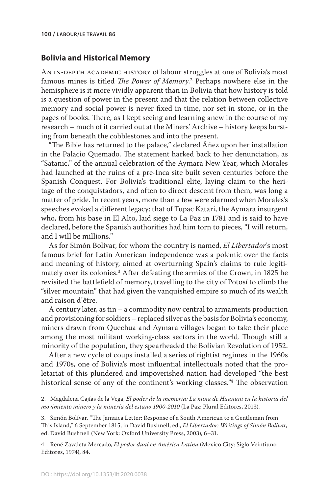#### **Bolivia and Historical Memory**

AN IN-DEPTH ACADEMIC HISTORY of labour struggles at one of Bolivia's most famous mines is titled *The Power of Memory*. 2 Perhaps nowhere else in the hemisphere is it more vividly apparent than in Bolivia that how history is told is a question of power in the present and that the relation between collective memory and social power is never fixed in time, nor set in stone, or in the pages of books. There, as I kept seeing and learning anew in the course of my research – much of it carried out at the Miners' Archive – history keeps bursting from beneath the cobblestones and into the present.

"The Bible has returned to the palace," declared Áñez upon her installation in the Palacio Quemado. The statement harked back to her denunciation, as "Satanic," of the annual celebration of the Aymara New Year, which Morales had launched at the ruins of a pre-Inca site built seven centuries before the Spanish Conquest. For Bolivia's traditional elite, laying claim to the heritage of the conquistadors, and often to direct descent from them, was long a matter of pride. In recent years, more than a few were alarmed when Morales's speeches evoked a different legacy: that of Tupac Katari, the Aymara insurgent who, from his base in El Alto, laid siege to La Paz in 1781 and is said to have declared, before the Spanish authorities had him torn to pieces, "I will return, and I will be millions."

As for Simón Bolívar, for whom the country is named, *El Libertador*'s most famous brief for Latin American independence was a polemic over the facts and meaning of history, aimed at overturning Spain's claims to rule legitimately over its colonies.3 After defeating the armies of the Crown, in 1825 he revisited the battlefield of memory, travelling to the city of Potosí to climb the "silver mountain" that had given the vanquished empire so much of its wealth and raison d'être.

A century later, as tin – a commodity now central to armaments production and provisioning for soldiers – replaced silver as the basis for Bolivia's economy, miners drawn from Quechua and Aymara villages began to take their place among the most militant working-class sectors in the world. Though still a minority of the population, they spearheaded the Bolivian Revolution of 1952.

After a new cycle of coups installed a series of rightist regimes in the 1960s and 1970s, one of Bolivia's most influential intellectuals noted that the proletariat of this plundered and impoverished nation had developed "the best historical sense of any of the continent's working classes."4 The observation

2. Magdalena Cajías de la Vega, *El poder de la memoria: La mina de Huanuni en la historia del movimiento minero y la minería del estaño 1900-2010* (La Paz: Plural Editores, 2013).

3. Simón Bolívar, "The Jamaica Letter: Response of a South American to a Gentleman from This Island," 6 September 1815, in David Bushnell, ed., *El Libertador: Writings of Simón Bolívar*, ed. David Bushnell (New York: Oxford University Press, 2003), 6–31.

4. René Zavaleta Mercado, *El poder dual en América Latina* (Mexico City: Siglo Veintiuno Editores, 1974), 84.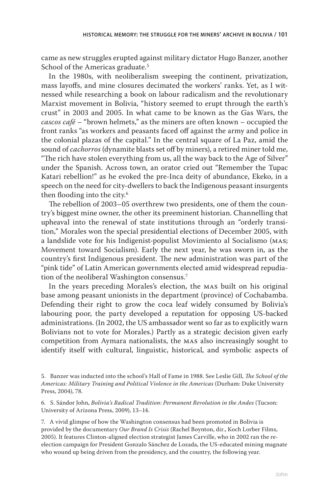came as new struggles erupted against military dictator Hugo Banzer, another School of the Americas graduate.<sup>5</sup>

In the 1980s, with neoliberalism sweeping the continent, privatization, mass layoffs, and mine closures decimated the workers' ranks. Yet, as I witnessed while researching a book on labour radicalism and the revolutionary Marxist movement in Bolivia, "history seemed to erupt through the earth's crust" in 2003 and 2005. In what came to be known as the Gas Wars, the *cascos café* – "brown helmets," as the miners are often known – occupied the front ranks "as workers and peasants faced off against the army and police in the colonial plazas of the capital." In the central square of La Paz, amid the sound of *cachorros* (dynamite blasts set off by miners), a retired miner told me, "The rich have stolen everything from us, all the way back to the Age of Silver" under the Spanish. Across town, an orator cried out "Remember the Tupac Katari rebellion!" as he evoked the pre-Inca deity of abundance, Ekeko, in a speech on the need for city-dwellers to back the Indigenous peasant insurgents then flooding into the city.6

The rebellion of 2003–05 overthrew two presidents, one of them the country's biggest mine owner, the other its preeminent historian. Channelling that upheaval into the renewal of state institutions through an "orderly transition," Morales won the special presidential elections of December 2005, with a landslide vote for his Indigenist-populist Movimiento al Socialismo (mas; Movement toward Socialism). Early the next year, he was sworn in, as the country's first Indigenous president. The new administration was part of the "pink tide" of Latin American governments elected amid widespread repudiation of the neoliberal Washington consensus.7

In the years preceding Morales's election, the mas built on his original base among peasant unionists in the department (province) of Cochabamba. Defending their right to grow the coca leaf widely consumed by Bolivia's labouring poor, the party developed a reputation for opposing US-backed administrations. (In 2002, the US ambassador went so far as to explicitly warn Bolivians not to vote for Morales.) Partly as a strategic decision given early competition from Aymara nationalists, the mas also increasingly sought to identify itself with cultural, linguistic, historical, and symbolic aspects of

6. S. Sándor John, *Bolivia's Radical Tradition: Permanent Revolution in the Andes* (Tucson: University of Arizona Press, 2009), 13–14.

7. A vivid glimpse of how the Washington consensus had been promoted in Bolivia is provided by the documentary *Our Brand Is Crisis* (Rachel Boynton, dir., Koch Lorber Films, 2005). It features Clinton-aligned election strategist James Carville, who in 2002 ran the reelection campaign for President Gonzalo Sánchez de Lozada, the US-educated mining magnate who wound up being driven from the presidency, and the country, the following year.

<sup>5.</sup> Banzer was inducted into the school's Hall of Fame in 1988. See Leslie Gill, *The School of the Americas: Military Training and Political Violence in the Americas* (Durham: Duke University Press, 2004), 78.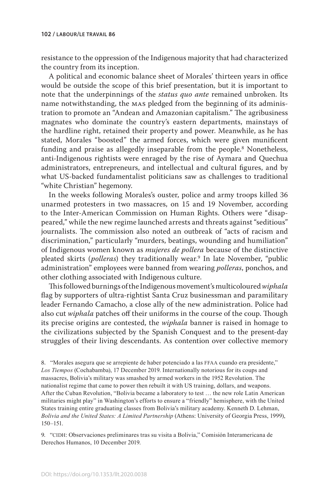resistance to the oppression of the Indigenous majority that had characterized the country from its inception.

A political and economic balance sheet of Morales' thirteen years in office would be outside the scope of this brief presentation, but it is important to note that the underpinnings of the *status quo ante* remained unbroken. Its name notwithstanding, the mas pledged from the beginning of its administration to promote an "Andean and Amazonian capitalism." The agribusiness magnates who dominate the country's eastern departments, mainstays of the hardline right, retained their property and power. Meanwhile, as he has stated, Morales "boosted" the armed forces, which were given munificent funding and praise as allegedly inseparable from the people.<sup>8</sup> Nonetheless, anti-Indigenous rightists were enraged by the rise of Aymara and Quechua administrators, entrepreneurs, and intellectual and cultural figures, and by what US-backed fundamentalist politicians saw as challenges to traditional "white Christian" hegemony.

In the weeks following Morales's ouster, police and army troops killed 36 unarmed protesters in two massacres, on 15 and 19 November, according to the Inter-American Commission on Human Rights. Others were "disappeared," while the new regime launched arrests and threats against "seditious" journalists. The commission also noted an outbreak of "acts of racism and discrimination," particularly "murders, beatings, wounding and humiliation" of Indigenous women known as *mujeres de pollera* because of the distinctive pleated skirts (*polleras*) they traditionally wear.9 In late November, "public administration" employees were banned from wearing *polleras*, ponchos, and other clothing associated with Indigenous culture.

This followed burnings of the Indigenous movement's multicoloured *wiphala* flag by supporters of ultra-rightist Santa Cruz businessman and paramilitary leader Fernando Camacho, a close ally of the new administration. Police had also cut *wiphala* patches off their uniforms in the course of the coup. Though its precise origins are contested, the *wiphala* banner is raised in homage to the civilizations subjected by the Spanish Conquest and to the present-day struggles of their living descendants. As contention over collective memory

8. "Morales asegura que se arrepiente de haber potenciado a las FFAA cuando era presidente," *Los Tiempos* (Cochabamba), 17 December 2019. Internationally notorious for its coups and massacres, Bolivia's military was smashed by armed workers in the 1952 Revolution. The nationalist regime that came to power then rebuilt it with US training, dollars, and weapons. After the Cuban Revolution, "Bolivia became a laboratory to test … the new role Latin American militaries might play" in Washington's efforts to ensure a "friendly" hemisphere, with the United States training entire graduating classes from Bolivia's military academy. Kenneth D. Lehman, *Bolivia and the United States: A Limited Partnership* (Athens: University of Georgia Press, 1999), 150–151.

9. "cidh: Observaciones preliminares tras su visita a Bolivia," Comisión Interamericana de Derechos Humanos, 10 December 2019.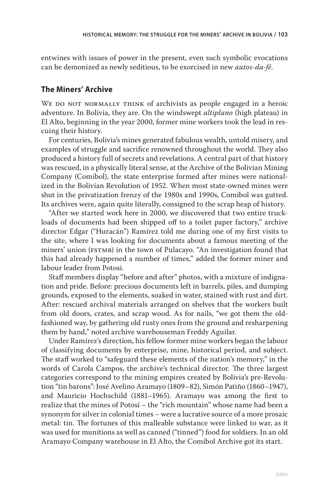entwines with issues of power in the present, even such symbolic evocations can be demonized as newly seditious, to be exorcised in new *autos-da-fé*.

# **The Miners' Archive**

WE DO NOT NORMALLY THINK of archivists as people engaged in a heroic adventure. In Bolivia, they are. On the windswept *altiplano* (high plateau) in El Alto, beginning in the year 2000, former mine workers took the lead in rescuing their history.

For centuries, Bolivia's mines generated fabulous wealth, untold misery, and examples of struggle and sacrifice renowned throughout the world. They also produced a history full of secrets and revelations. A central part of that history was rescued, in a physically literal sense, at the Archive of the Bolivian Mining Company (Comibol), the state enterprise formed after mines were nationalized in the Bolivian Revolution of 1952. When most state-owned mines were shut in the privatization frenzy of the 1980s and 1990s, Comibol was gutted. Its archives were, again quite literally, consigned to the scrap heap of history.

"After we started work here in 2000, we discovered that two entire truckloads of documents had been shipped off to a toilet paper factory," archive director Edgar ("Huracán") Ramírez told me during one of my first visits to the site, where I was looking for documents about a famous meeting of the miners' union (FSTMB) in the town of Pulacayo. "An investigation found that this had already happened a number of times," added the former miner and labour leader from Potosí.

Staff members display "before and after" photos, with a mixture of indignation and pride. Before: precious documents left in barrels, piles, and dumping grounds, exposed to the elements, soaked in water, stained with rust and dirt. After: rescued archival materials arranged on shelves that the workers built from old doors, crates, and scrap wood. As for nails, "we got them the oldfashioned way, by gathering old rusty ones from the ground and resharpening them by hand," noted archive warehouseman Freddy Aguilar.

Under Ramírez's direction, his fellow former mine workers began the labour of classifying documents by enterprise, mine, historical period, and subject. The staff worked to "safeguard these elements of the nation's memory," in the words of Carola Campos, the archive's technical director. The three largest categories correspond to the mining empires created by Bolivia's pre-Revolution "tin barons": José Avelino Aramayo (1809–82), Simón Patiño (1860–1947), and Mauricio Hochschild (1881–1965). Aramayo was among the first to realize that the mines of Potosí – the "rich mountain" whose name had been a synonym for silver in colonial times – were a lucrative source of a more prosaic metal: tin. The fortunes of this malleable substance were linked to war, as it was used for munitions as well as canned ("tinned") food for soldiers. In an old Aramayo Company warehouse in El Alto, the Comibol Archive got its start.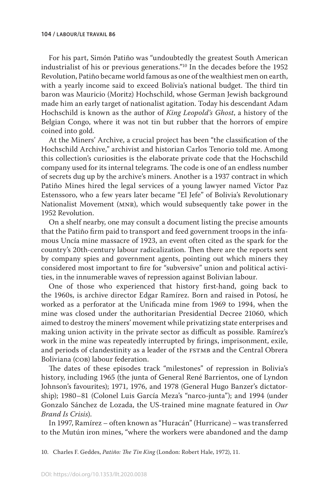For his part, Simón Patiño was "undoubtedly the greatest South American industrialist of his or previous generations."10 In the decades before the 1952 Revolution, Patiño became world famous as one of the wealthiest men on earth, with a yearly income said to exceed Bolivia's national budget. The third tin baron was Mauricio (Moritz) Hochschild, whose German Jewish background made him an early target of nationalist agitation. Today his descendant Adam Hochschild is known as the author of *King Leopold's Ghost*, a history of the Belgian Congo, where it was not tin but rubber that the horrors of empire coined into gold.

At the Miners' Archive, a crucial project has been "the classification of the Hochschild Archive," archivist and historian Carlos Tenorio told me. Among this collection's curiosities is the elaborate private code that the Hochschild company used for its internal telegrams. The code is one of an endless number of secrets dug up by the archive's miners. Another is a 1937 contract in which Patiño Mines hired the legal services of a young lawyer named Víctor Paz Estenssoro, who a few years later became "El Jefe" of Bolivia's Revolutionary Nationalist Movement (mnr), which would subsequently take power in the 1952 Revolution.

On a shelf nearby, one may consult a document listing the precise amounts that the Patiño firm paid to transport and feed government troops in the infamous Uncía mine massacre of 1923, an event often cited as the spark for the country's 20th-century labour radicalization. Then there are the reports sent by company spies and government agents, pointing out which miners they considered most important to fire for "subversive" union and political activities, in the innumerable waves of repression against Bolivian labour.

One of those who experienced that history first-hand, going back to the 1960s, is archive director Edgar Ramírez. Born and raised in Potosí, he worked as a perforator at the Unificada mine from 1969 to 1994, when the mine was closed under the authoritarian Presidential Decree 21060, which aimed to destroy the miners' movement while privatizing state enterprises and making union activity in the private sector as difficult as possible. Ramírez's work in the mine was repeatedly interrupted by firings, imprisonment, exile, and periods of clandestinity as a leader of the FSTMB and the Central Obrera Boliviana (cob) labour federation.

The dates of these episodes track "milestones" of repression in Bolivia's history, including 1965 (the junta of General René Barrientos, one of Lyndon Johnson's favourites); 1971, 1976, and 1978 (General Hugo Banzer's dictatorship); 1980–81 (Colonel Luis García Meza's "narco-junta"); and 1994 (under Gonzalo Sánchez de Lozada, the US-trained mine magnate featured in *Our Brand Is Crisis*).

In 1997, Ramírez – often known as "Huracán" (Hurricane) – was transferred to the Mutún iron mines, "where the workers were abandoned and the damp

10. Charles F. Geddes, *Patiño: The Tin King* (London: Robert Hale, 1972), 11.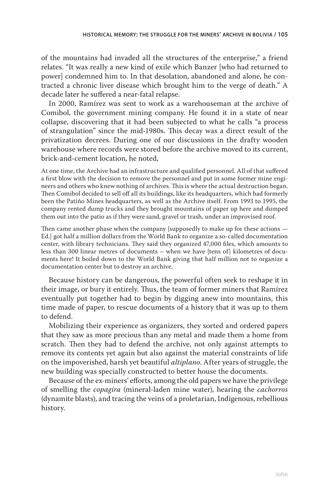of the mountains had invaded all the structures of the enterprise," a friend relates. "It was really a new kind of exile which Banzer [who had returned to power] condemned him to. In that desolation, abandoned and alone, he contracted a chronic liver disease which brought him to the verge of death." A decade later he suffered a near-fatal relapse.

In 2000, Ramírez was sent to work as a warehouseman at the archive of Comibol, the government mining company. He found it in a state of near collapse, discovering that it had been subjected to what he calls "a process of strangulation" since the mid-1980s. This decay was a direct result of the privatization decrees. During one of our discussions in the drafty wooden warehouse where records were stored before the archive moved to its current, brick-and-cement location, he noted,

At one time, the Archive had an infrastructure and qualified personnel. All of that suffered a first blow with the decision to remove the personnel and put in some former mine engineers and others who knew nothing of archives. This is where the actual destruction began. Then Comibol decided to sell off all its buildings, like its headquarters, which had formerly been the Patiño Mines headquarters, as well as the Archive itself. From 1993 to 1995, the company rented dump trucks and they brought mountains of paper up here and dumped them out into the patio as if they were sand, gravel or trash, under an improvised roof.

Then came another phase when the company [supposedly to make up for these actions — Ed.] got half a million dollars from the World Bank to organize a so-called documentation center, with library technicians. They said they organized 47,000 files, which amounts to less than 300 linear metres of documents – when we have [tens of] kilometres of documents here! It boiled down to the World Bank giving that half million not to organize a documentation center but to destroy an archive.

Because history can be dangerous, the powerful often seek to reshape it in their image, or bury it entirely. Thus, the team of former miners that Ramírez eventually put together had to begin by digging anew into mountains, this time made of paper, to rescue documents of a history that it was up to them to defend.

Mobilizing their experience as organizers, they sorted and ordered papers that they saw as more precious than any metal and made them a home from scratch. Then they had to defend the archive, not only against attempts to remove its contents yet again but also against the material constraints of life on the impoverished, harsh yet beautiful *altiplano*. After years of struggle, the new building was specially constructed to better house the documents.

Because of the ex-miners' efforts, among the old papers we have the privilege of smelling the *copagira* (mineral-laden mine water), hearing the *cachorros* (dynamite blasts), and tracing the veins of a proletarian, Indigenous, rebellious history.